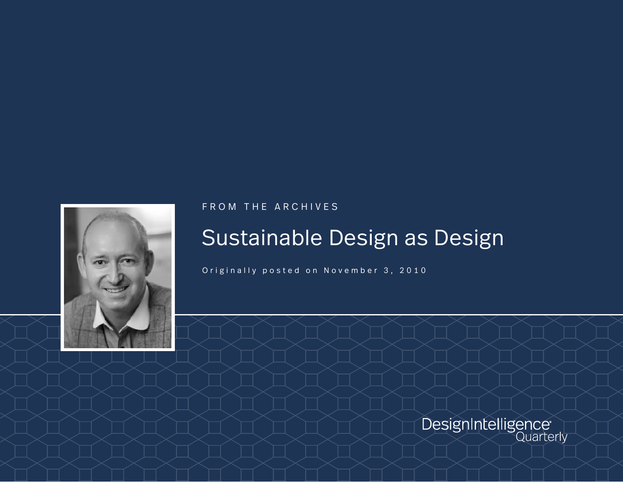

FROM THE ARCHIVES

# Sustainable Design as Design

Originally posted on November 3, 2010

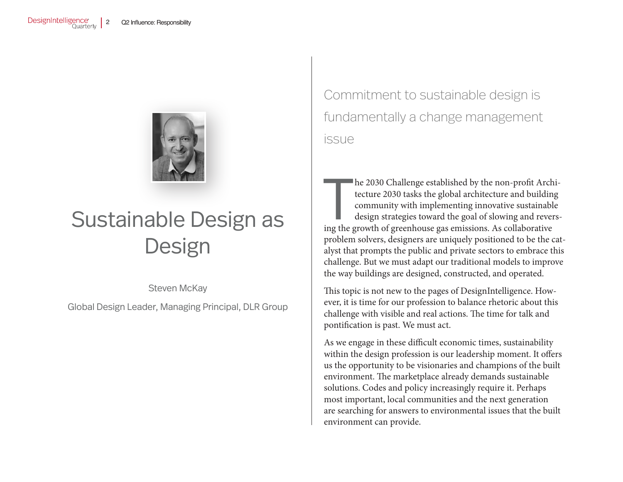

# Sustainable Design as **Design**

Steven McKay

Global Design Leader, Managing Principal, DLR Group

Commitment to sustainable design is fundamentally a change management issue

he 2030 Challenge established by the non-profit Arch tecture 2030 tasks the global architecture and build<br>in community with implementing innovative sustainable design strategies toward the goal of slowing and rever<br>ing the he 2030 Challenge established by the non-profit Architecture 2030 tasks the global architecture and building community with implementing innovative sustainable design strategies toward the goal of slowing and reversproblem solvers, designers are uniquely positioned to be the catalyst that prompts the public and private sectors to embrace this challenge. But we must adapt our traditional models to improve the way buildings are designed, constructed, and operated.

This topic is not new to the pages of DesignIntelligence. However, it is time for our profession to balance rhetoric about this challenge with visible and real actions. The time for talk and pontification is past. We must act.

As we engage in these difficult economic times, sustainability within the design profession is our leadership moment. It offers us the opportunity to be visionaries and champions of the built environment. The marketplace already demands sustainable solutions. Codes and policy increasingly require it. Perhaps most important, local communities and the next generation are searching for answers to environmental issues that the built environment can provide.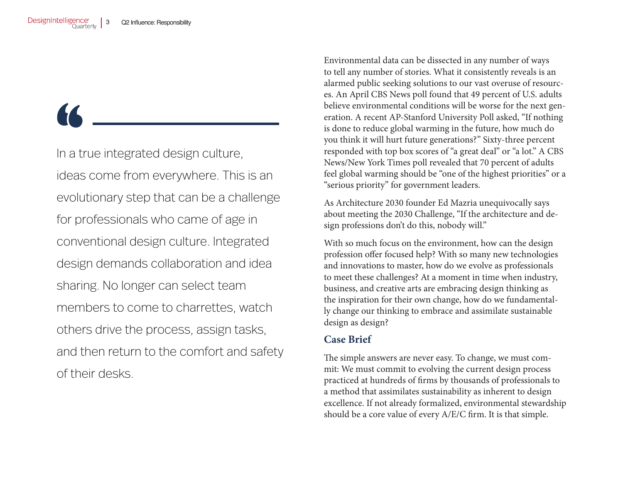In a true integrated design culture, ideas come from everywhere. This is an evolutionary step that can be a challenge for professionals who came of age in conventional design culture. Integrated design demands collaboration and idea sharing. No longer can select team members to come to charrettes, watch others drive the process, assign tasks, and then return to the comfort and safety of their desks.

Environmental data can be dissected in any number of ways to tell any number of stories. What it consistently reveals is an alarmed public seeking solutions to our vast overuse of resources. An April CBS News poll found that 49 percent of U.S. adults believe environmental conditions will be worse for the next generation. A recent AP-Stanford University Poll asked, "If nothing is done to reduce global warming in the future, how much do you think it will hurt future generations?" Sixty-three percent responded with top box scores of "a great deal" or "a lot." A CBS News/New York Times poll revealed that 70 percent of adults feel global warming should be "one of the highest priorities" or a "serious priority" for government leaders.

As Architecture 2030 founder Ed Mazria unequivocally says about meeting the 2030 Challenge, "If the architecture and design professions don't do this, nobody will."

With so much focus on the environment, how can the design profession offer focused help? With so many new technologies and innovations to master, how do we evolve as professionals to meet these challenges? At a moment in time when industry, business, and creative arts are embracing design thinking as the inspiration for their own change, how do we fundamentally change our thinking to embrace and assimilate sustainable design as design?

#### **Case Brief**

The simple answers are never easy. To change, we must commit: We must commit to evolving the current design process practiced at hundreds of firms by thousands of professionals to a method that assimilates sustainability as inherent to design excellence. If not already formalized, environmental stewardship should be a core value of every A/E/C firm. It is that simple.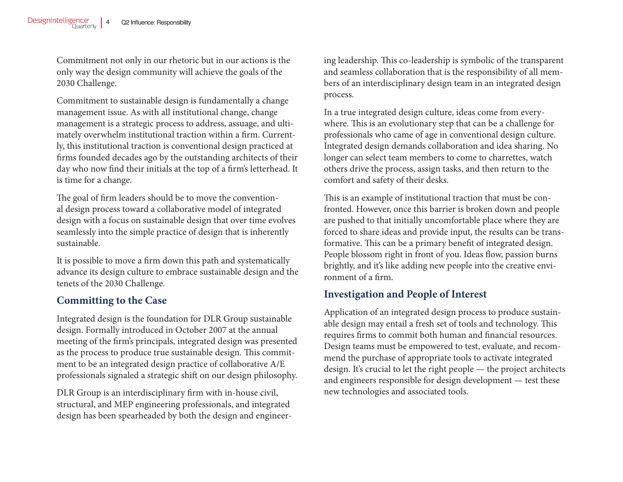Commitment not only in our rhetoric but in our actions is the only way the design community will achieve the goals of the 2030 Challenge.

Commitment to sustainable design is fundamentally a change management issue. As with all institutional change, change management is a strategic process to address, assuage, and ultimately overwhelm institutional traction within a firm. Currently, this institutional traction is conventional design practiced at firms founded decades ago by the outstanding architects of their day who now find their initials at the top of a firm's letterhead. It is time for a change.

The goal of firm leaders should be to move the conventional design process toward a collaborative model of integrated design with a focus on sustainable design that over time evolves seamlessly into the simple practice of design that is inherently sustainable.

It is possible to move a firm down this path and systematically advance its design culture to embrace sustainable design and the tenets of the 2030 Challenge.

# **Committing to the Case**

Integrated design is the foundation for DLR Group sustainable design. Formally introduced in October 2007 at the annual meeting of the firm's principals, integrated design was presented as the process to produce true sustainable design. This commitment to be an integrated design practice of collaborative A/E professionals signaled a strategic shift on our design philosophy.

DLR Group is an interdisciplinary firm with in-house civil, structural, and MEP engineering professionals, and integrated design has been spearheaded by both the design and engineering leadership. This co-leadership is symbolic of the transparent and seamless collaboration that is the responsibility of all members of an interdisciplinary design team in an integrated design process.

In a true integrated design culture, ideas come from everywhere. This is an evolutionary step that can be a challenge for professionals who came of age in conventional design culture. Integrated design demands collaboration and idea sharing. No longer can select team members to come to charrettes, watch others drive the process, assign tasks, and then return to the comfort and safety of their desks.

This is an example of institutional traction that must be confronted. However, once this barrier is broken down and people are pushed to that initially uncomfortable place where they are forced to share ideas and provide input, the results can be transformative. This can be a primary benefit of integrated design. People blossom right in front of you. Ideas flow, passion burns brightly, and it's like adding new people into the creative environment of a firm.

#### **Investigation and People of Interest**

Application of an integrated design process to produce sustainable design may entail a fresh set of tools and technology. This requires firms to commit both human and financial resources. Design teams must be empowered to test, evaluate, and recommend the purchase of appropriate tools to activate integrated design. It's crucial to let the right people — the project architects and engineers responsible for design development — test these new technologies and associated tools.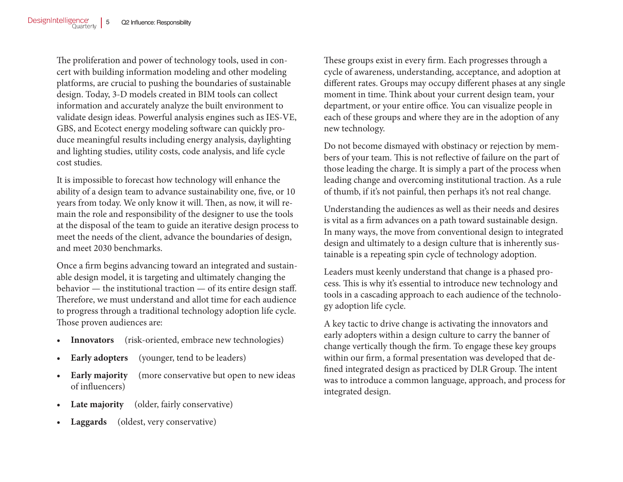The proliferation and power of technology tools, used in concert with building information modeling and other modeling platforms, are crucial to pushing the boundaries of sustainable design. Today, 3-D models created in BIM tools can collect information and accurately analyze the built environment to validate design ideas. Powerful analysis engines such as IES-VE, GBS, and Ecotect energy modeling software can quickly produce meaningful results including energy analysis, daylighting and lighting studies, utility costs, code analysis, and life cycle cost studies.

It is impossible to forecast how technology will enhance the ability of a design team to advance sustainability one, five, or 10 years from today. We only know it will. Then, as now, it will remain the role and responsibility of the designer to use the tools at the disposal of the team to guide an iterative design process to meet the needs of the client, advance the boundaries of design, and meet 2030 benchmarks.

Once a firm begins advancing toward an integrated and sustainable design model, it is targeting and ultimately changing the behavior — the institutional traction — of its entire design staff. Therefore, we must understand and allot time for each audience to progress through a traditional technology adoption life cycle. Those proven audiences are:

- **• Innovators** (risk-oriented, embrace new technologies)
- **Early adopters** (younger, tend to be leaders)
- **Early majority** (more conservative but open to new ideas of influencers)
- **Late majority** (older, fairly conservative)
- **• Laggards** (oldest, very conservative)

These groups exist in every firm. Each progresses through a cycle of awareness, understanding, acceptance, and adoption at different rates. Groups may occupy different phases at any single moment in time. Think about your current design team, your department, or your entire office. You can visualize people in each of these groups and where they are in the adoption of any new technology.

Do not become dismayed with obstinacy or rejection by members of your team. This is not reflective of failure on the part of those leading the charge. It is simply a part of the process when leading change and overcoming institutional traction. As a rule of thumb, if it's not painful, then perhaps it's not real change.

Understanding the audiences as well as their needs and desires is vital as a firm advances on a path toward sustainable design. In many ways, the move from conventional design to integrated design and ultimately to a design culture that is inherently sustainable is a repeating spin cycle of technology adoption.

Leaders must keenly understand that change is a phased process. This is why it's essential to introduce new technology and tools in a cascading approach to each audience of the technology adoption life cycle.

A key tactic to drive change is activating the innovators and early adopters within a design culture to carry the banner of change vertically though the firm. To engage these key groups within our firm, a formal presentation was developed that defined integrated design as practiced by DLR Group. The intent was to introduce a common language, approach, and process for integrated design.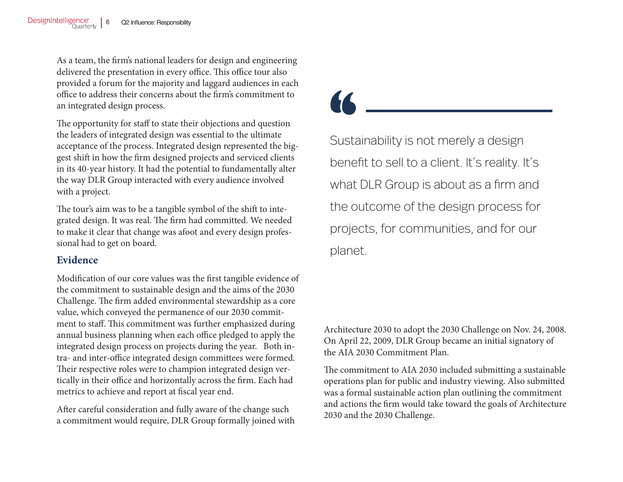As a team, the firm's national leaders for design and engineering delivered the presentation in every office. This office tour also provided a forum for the majority and laggard audiences in each office to address their concerns about the firm's commitment to an integrated design process.

The opportunity for staff to state their objections and question the leaders of integrated design was essential to the ultimate acceptance of the process. Integrated design represented the biggest shift in how the firm designed projects and serviced clients in its 40-year history. It had the potential to fundamentally alter the way DLR Group interacted with every audience involved with a project.

The tour's aim was to be a tangible symbol of the shift to integrated design. It was real. The firm had committed. We needed to make it clear that change was afoot and every design professional had to get on board.

#### **Evidence**

Modification of our core values was the first tangible evidence of the commitment to sustainable design and the aims of the 2030 Challenge. The firm added environmental stewardship as a core value, which conveyed the permanence of our 2030 commitment to staff. This commitment was further emphasized during annual business planning when each office pledged to apply the integrated design process on projects during the year. Both intra- and inter-office integrated design committees were formed. Their respective roles were to champion integrated design vertically in their office and horizontally across the firm. Each had metrics to achieve and report at fiscal year end.

After careful consideration and fully aware of the change such a commitment would require, DLR Group formally joined with

Sustainability is not merely a design benefit to sell to a client. It's reality. It's what DLR Group is about as a firm and the outcome of the design process for projects, for communities, and for our planet.

Architecture 2030 to adopt the 2030 Challenge on Nov. 24, 2008. On April 22, 2009, DLR Group became an initial signatory of the AIA 2030 Commitment Plan.

The commitment to AIA 2030 included submitting a sustainable operations plan for public and industry viewing. Also submitted was a formal sustainable action plan outlining the commitment and actions the firm would take toward the goals of Architecture 2030 and the 2030 Challenge.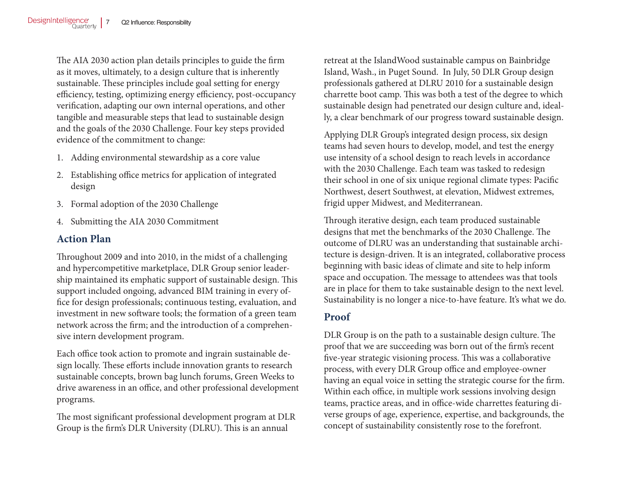The AIA 2030 action plan details principles to guide the firm as it moves, ultimately, to a design culture that is inherently sustainable. These principles include goal setting for energy efficiency, testing, optimizing energy efficiency, post-occupancy verification, adapting our own internal operations, and other tangible and measurable steps that lead to sustainable design and the goals of the 2030 Challenge. Four key steps provided evidence of the commitment to change:

- 1. Adding environmental stewardship as a core value
- 2. Establishing office metrics for application of integrated design
- 3. Formal adoption of the 2030 Challenge
- 4. Submitting the AIA 2030 Commitment

### **Action Plan**

Throughout 2009 and into 2010, in the midst of a challenging and hypercompetitive marketplace, DLR Group senior leadership maintained its emphatic support of sustainable design. This support included ongoing, advanced BIM training in every office for design professionals; continuous testing, evaluation, and investment in new software tools; the formation of a green team network across the firm; and the introduction of a comprehensive intern development program.

Each office took action to promote and ingrain sustainable design locally. These efforts include innovation grants to research sustainable concepts, brown bag lunch forums, Green Weeks to drive awareness in an office, and other professional development programs.

The most significant professional development program at DLR Group is the firm's DLR University (DLRU). This is an annual

retreat at the IslandWood sustainable campus on Bainbridge Island, Wash., in Puget Sound. In July, 50 DLR Group design professionals gathered at DLRU 2010 for a sustainable design charrette boot camp. This was both a test of the degree to which sustainable design had penetrated our design culture and, ideally, a clear benchmark of our progress toward sustainable design.

Applying DLR Group's integrated design process, six design teams had seven hours to develop, model, and test the energy use intensity of a school design to reach levels in accordance with the 2030 Challenge. Each team was tasked to redesign their school in one of six unique regional climate types: Pacific Northwest, desert Southwest, at elevation, Midwest extremes, frigid upper Midwest, and Mediterranean.

Through iterative design, each team produced sustainable designs that met the benchmarks of the 2030 Challenge. The outcome of DLRU was an understanding that sustainable architecture is design-driven. It is an integrated, collaborative process beginning with basic ideas of climate and site to help inform space and occupation. The message to attendees was that tools are in place for them to take sustainable design to the next level. Sustainability is no longer a nice-to-have feature. It's what we do.

# **Proof**

DLR Group is on the path to a sustainable design culture. The proof that we are succeeding was born out of the firm's recent five-year strategic visioning process. This was a collaborative process, with every DLR Group office and employee-owner having an equal voice in setting the strategic course for the firm. Within each office, in multiple work sessions involving design teams, practice areas, and in office-wide charrettes featuring diverse groups of age, experience, expertise, and backgrounds, the concept of sustainability consistently rose to the forefront.